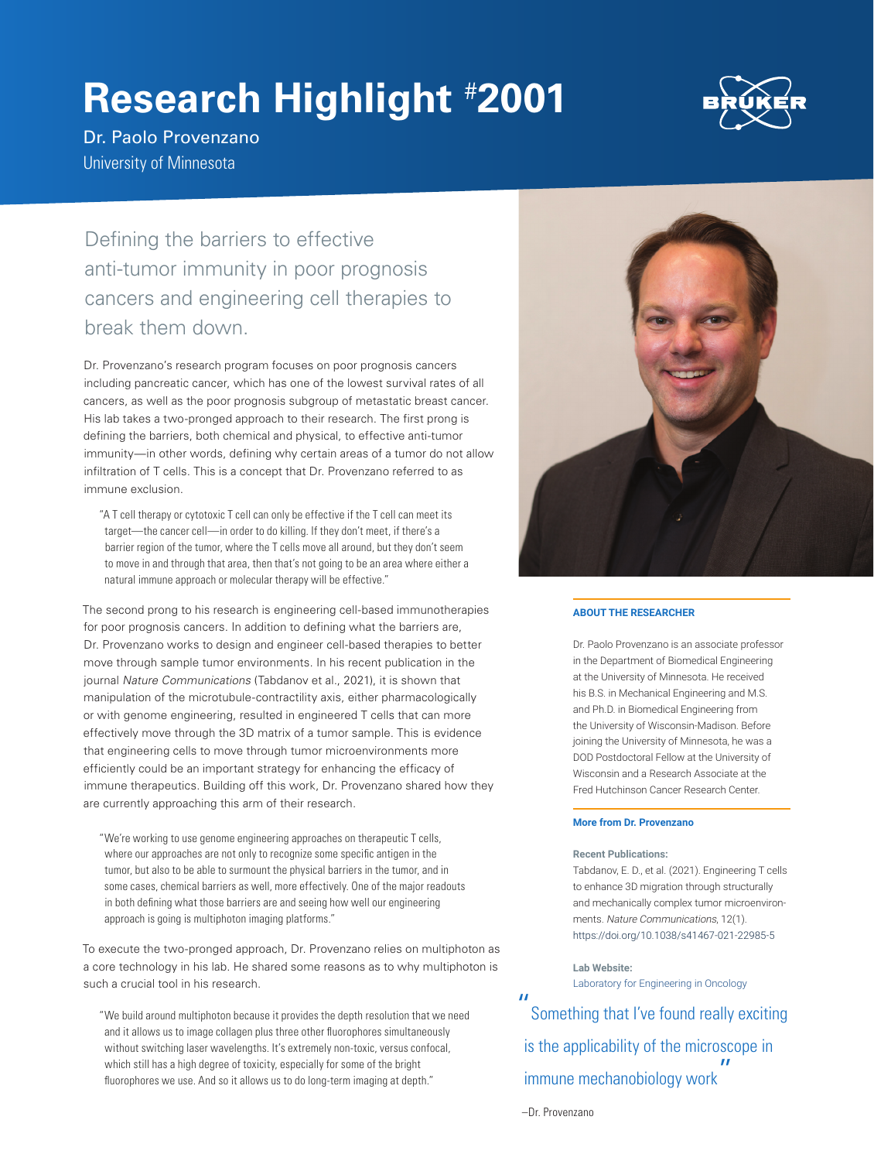# **Research Highlight** # **2001**



Dr. Paolo Provenzano University of Minnesota

Defining the barriers to effective anti-tumor immunity in poor prognosis cancers and engineering cell therapies to break them down.

Dr. Provenzano's research program focuses on poor prognosis cancers including pancreatic cancer, which has one of the lowest survival rates of all cancers, as well as the poor prognosis subgroup of metastatic breast cancer. His lab takes a two-pronged approach to their research. The first prong is defining the barriers, both chemical and physical, to effective anti-tumor immunity—in other words, defining why certain areas of a tumor do not allow infiltration of T cells. This is a concept that Dr. Provenzano referred to as immune exclusion.

"A T cell therapy or cytotoxic T cell can only be effective if the T cell can meet its target—the cancer cell—in order to do killing. If they don't meet, if there's a barrier region of the tumor, where the T cells move all around, but they don't seem to move in and through that area, then that's not going to be an area where either a natural immune approach or molecular therapy will be effective."

The second prong to his research is engineering cell-based immunotherapies for poor prognosis cancers. In addition to defining what the barriers are, Dr. Provenzano works to design and engineer cell-based therapies to better move through sample tumor environments. In his recent publication in the journal Nature Communications (Tabdanov et al., 2021), it is shown that manipulation of the microtubule-contractility axis, either pharmacologically or with genome engineering, resulted in engineered T cells that can more effectively move through the 3D matrix of a tumor sample. This is evidence that engineering cells to move through tumor microenvironments more efficiently could be an important strategy for enhancing the efficacy of immune therapeutics. Building off this work, Dr. Provenzano shared how they are currently approaching this arm of their research.

"We're working to use genome engineering approaches on therapeutic T cells, where our approaches are not only to recognize some specific antigen in the tumor, but also to be able to surmount the physical barriers in the tumor, and in some cases, chemical barriers as well, more effectively. One of the major readouts in both defining what those barriers are and seeing how well our engineering approach is going is multiphoton imaging platforms."

To execute the two-pronged approach, Dr. Provenzano relies on multiphoton as a core technology in his lab. He shared some reasons as to why multiphoton is such a crucial tool in his research.

"We build around multiphoton because it provides the depth resolution that we need and it allows us to image collagen plus three other fluorophores simultaneously without switching laser wavelengths. It's extremely non-toxic, versus confocal, which still has a high degree of toxicity, especially for some of the bright fluorophores we use. And so it allows us to do long-term imaging at depth."



#### **ABOUT THE RESEARCHER**

Dr. Paolo Provenzano is an associate professor in the Department of Biomedical Engineering at the University of Minnesota. He received his B.S. in Mechanical Engineering and M.S. and Ph.D. in Biomedical Engineering from the University of Wisconsin-Madison. Before joining the University of Minnesota, he was a DOD Postdoctoral Fellow at the University of Wisconsin and a Research Associate at the Fred Hutchinson Cancer Research Center.

#### **More from Dr. Provenzano**

#### **Recent Publications:**

Tabdanov, E. D., et al. (2021). Engineering T cells to enhance 3D migration through structurally and mechanically complex tumor microenvironments. Nature Communications, 12(1). https://doi.org/10.1038/s41467-021-22985-5

**Lab Website:**  [Laboratory for Engineering in Oncology](https://provenzanolab.umn.edu/)

"Something that I've found really exciting is the applicability of the microscope in immune mechanobiology work